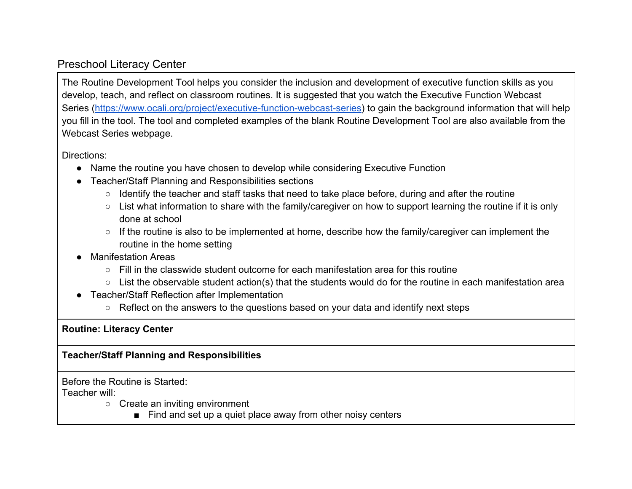## Preschool Literacy Center

The Routine Development Tool helps you consider the inclusion and development of executive function skills as you develop, teach, and reflect on classroom routines. It is suggested that you watch the Executive Function Webcast Series [\(https://www.ocali.org/project/executive-function-webcast-series\)](https://www.ocali.org/project/executive-function-webcast-series) to gain the background information that will help you fill in the tool. The tool and completed examples of the blank Routine Development Tool are also available from the Webcast Series webpage.

Directions:

- Name the routine you have chosen to develop while considering Executive Function
- Teacher/Staff Planning and Responsibilities sections
	- Identify the teacher and staff tasks that need to take place before, during and after the routine
	- List what information to share with the family/caregiver on how to support learning the routine if it is only done at school
	- If the routine is also to be implemented at home, describe how the family/caregiver can implement the routine in the home setting
- **Manifestation Areas** 
	- $\circ$  Fill in the classwide student outcome for each manifestation area for this routine
	- List the observable student action(s) that the students would do for the routine in each manifestation area
- Teacher/Staff Reflection after Implementation
	- Reflect on the answers to the questions based on your data and identify next steps

**Routine: Literacy Center**

## **Teacher/Staff Planning and Responsibilities**

Before the Routine is Started:

Teacher will:

- Create an inviting environment
	- Find and set up a quiet place away from other noisy centers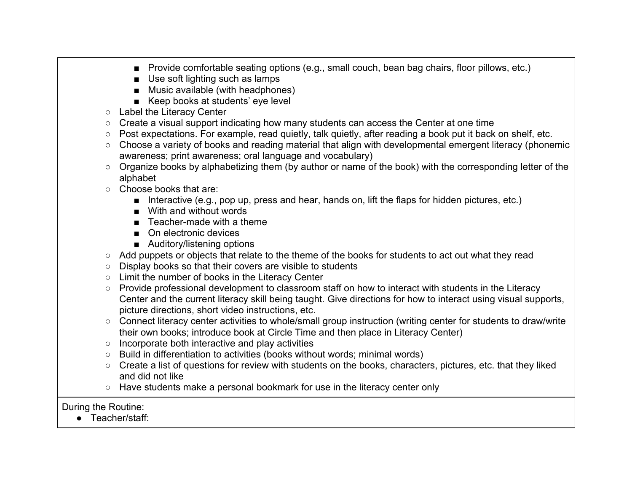- Provide comfortable seating options (e.g., small couch, bean bag chairs, floor pillows, etc.)
- Use soft lighting such as lamps
- Music available (with headphones)
- Keep books at students' eye level
- Label the Literacy Center
- Create a visual support indicating how many students can access the Center at one time
- Post expectations. For example, read quietly, talk quietly, after reading a book put it back on shelf, etc.
- Choose a variety of books and reading material that align with developmental emergent literacy (phonemic awareness; print awareness; oral language and vocabulary)
- Organize books by alphabetizing them (by author or name of the book) with the corresponding letter of the alphabet
- Choose books that are:
	- Interactive (e.g., pop up, press and hear, hands on, lift the flaps for hidden pictures, etc.)
	- With and without words
	- Teacher-made with a theme
	- On electronic devices
	- Auditory/listening options
- Add puppets or objects that relate to the theme of the books for students to act out what they read
- Display books so that their covers are visible to students
- Limit the number of books in the Literacy Center
- Provide professional development to classroom staff on how to interact with students in the Literacy Center and the current literacy skill being taught. Give directions for how to interact using visual supports, picture directions, short video instructions, etc.
- Connect literacy center activities to whole/small group instruction (writing center for students to draw/write their own books; introduce book at Circle Time and then place in Literacy Center)
- Incorporate both interactive and play activities
- Build in differentiation to activities (books without words; minimal words)
- Create a list of questions for review with students on the books, characters, pictures, etc. that they liked and did not like
- Have students make a personal bookmark for use in the literacy center only

During the Routine:

● Teacher/staff: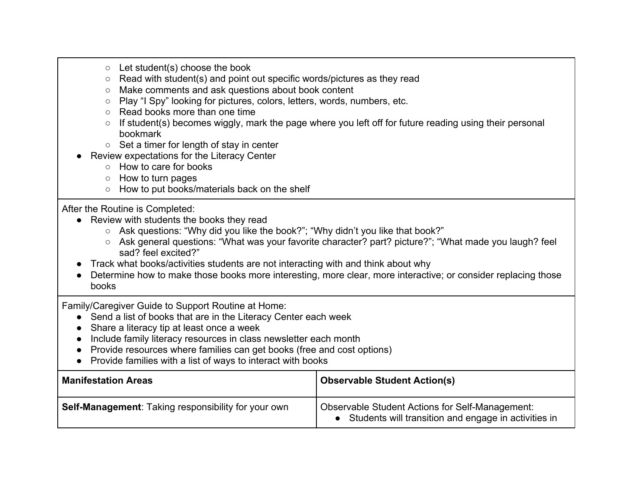- Let student(s) choose the book
- Read with student(s) and point out specific words/pictures as they read
- Make comments and ask questions about book content
- Play "I Spy" looking for pictures, colors, letters, words, numbers, etc.
- Read books more than one time
- $\circ$  If student(s) becomes wiggly, mark the page where you left off for future reading using their personal bookmark
- Set a timer for length of stay in center
- Review expectations for the Literacy Center
	- How to care for books
	- How to turn pages
	- How to put books/materials back on the shelf

## After the Routine is Completed:

- Review with students the books they read
	- Ask questions: "Why did you like the book?"; "Why didn't you like that book?"
	- Ask general questions: "What was your favorite character? part? picture?"; "What made you laugh? feel sad? feel excited?"
- Track what books/activities students are not interacting with and think about why
- Determine how to make those books more interesting, more clear, more interactive; or consider replacing those books

Family/Caregiver Guide to Support Routine at Home:

- Send a list of books that are in the Literacy Center each week
- Share a literacy tip at least once a week
- Include family literacy resources in class newsletter each month
- Provide resources where families can get books (free and cost options)
- Provide families with a list of ways to interact with books

| <b>Manifestation Areas</b>                          | <b>Observable Student Action(s)</b>                                                                              |
|-----------------------------------------------------|------------------------------------------------------------------------------------------------------------------|
| Self-Management: Taking responsibility for your own | <b>Observable Student Actions for Self-Management:</b><br>• Students will transition and engage in activities in |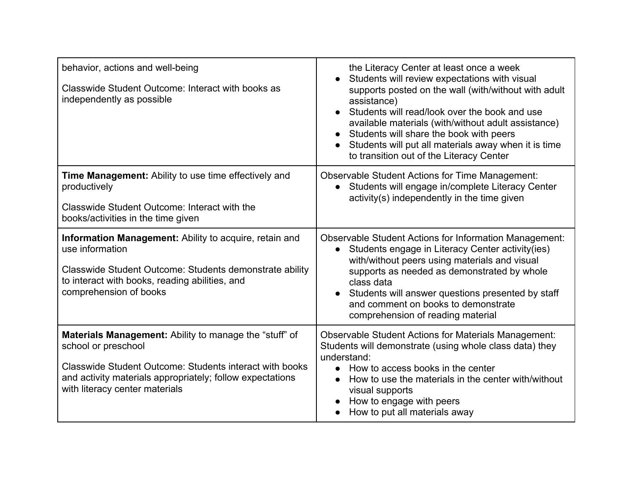| behavior, actions and well-being<br>Classwide Student Outcome: Interact with books as<br>independently as possible                                                                                                                             | the Literacy Center at least once a week<br>Students will review expectations with visual<br>supports posted on the wall (with/without with adult<br>assistance)<br>Students will read/look over the book and use<br>available materials (with/without adult assistance)<br>Students will share the book with peers<br>Students will put all materials away when it is time<br>to transition out of the Literacy Center |
|------------------------------------------------------------------------------------------------------------------------------------------------------------------------------------------------------------------------------------------------|-------------------------------------------------------------------------------------------------------------------------------------------------------------------------------------------------------------------------------------------------------------------------------------------------------------------------------------------------------------------------------------------------------------------------|
| <b>Time Management:</b> Ability to use time effectively and<br>productively<br>Classwide Student Outcome: Interact with the<br>books/activities in the time given                                                                              | <b>Observable Student Actions for Time Management:</b><br>• Students will engage in/complete Literacy Center<br>activity(s) independently in the time given                                                                                                                                                                                                                                                             |
| Information Management: Ability to acquire, retain and<br>use information<br>Classwide Student Outcome: Students demonstrate ability<br>to interact with books, reading abilities, and<br>comprehension of books                               | <b>Observable Student Actions for Information Management:</b><br>Students engage in Literacy Center activity (ies)<br>$\bullet$<br>with/without peers using materials and visual<br>supports as needed as demonstrated by whole<br>class data<br>Students will answer questions presented by staff<br>and comment on books to demonstrate<br>comprehension of reading material                                          |
| <b>Materials Management:</b> Ability to manage the "stuff" of<br>school or preschool<br>Classwide Student Outcome: Students interact with books<br>and activity materials appropriately; follow expectations<br>with literacy center materials | <b>Observable Student Actions for Materials Management:</b><br>Students will demonstrate (using whole class data) they<br>understand:<br>How to access books in the center<br>$\bullet$<br>How to use the materials in the center with/without<br>visual supports<br>How to engage with peers<br>How to put all materials away                                                                                          |